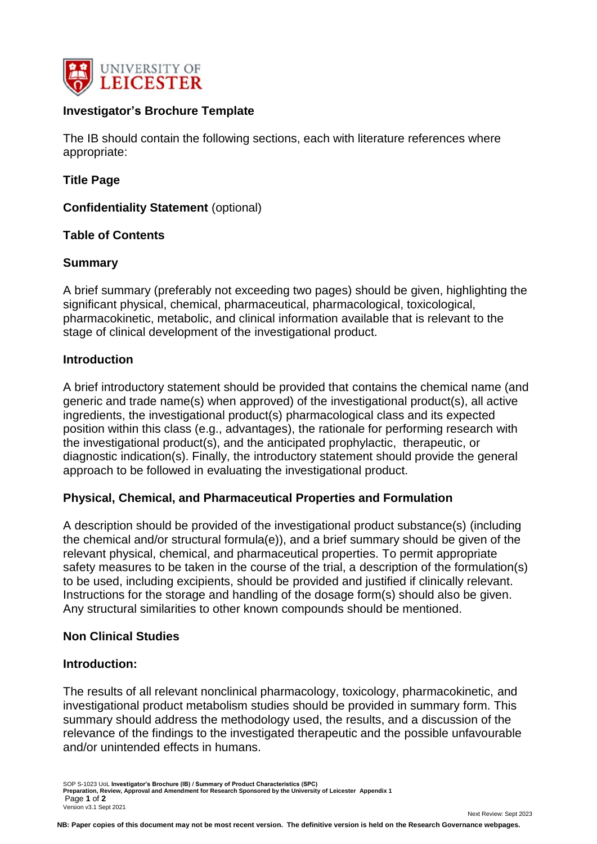

### **Investigator's Brochure Template**

The IB should contain the following sections, each with literature references where appropriate:

# **Title Page**

**Confidentiality Statement** (optional)

## **Table of Contents**

## **Summary**

A brief summary (preferably not exceeding two pages) should be given, highlighting the significant physical, chemical, pharmaceutical, pharmacological, toxicological, pharmacokinetic, metabolic, and clinical information available that is relevant to the stage of clinical development of the investigational product.

#### **Introduction**

A brief introductory statement should be provided that contains the chemical name (and generic and trade name(s) when approved) of the investigational product(s), all active ingredients, the investigational product(s) pharmacological class and its expected position within this class (e.g., advantages), the rationale for performing research with the investigational product(s), and the anticipated prophylactic, therapeutic, or diagnostic indication(s). Finally, the introductory statement should provide the general approach to be followed in evaluating the investigational product.

#### **Physical, Chemical, and Pharmaceutical Properties and Formulation**

A description should be provided of the investigational product substance(s) (including the chemical and/or structural formula(e)), and a brief summary should be given of the relevant physical, chemical, and pharmaceutical properties. To permit appropriate safety measures to be taken in the course of the trial, a description of the formulation(s) to be used, including excipients, should be provided and justified if clinically relevant. Instructions for the storage and handling of the dosage form(s) should also be given. Any structural similarities to other known compounds should be mentioned.

#### **Non Clinical Studies**

#### **Introduction:**

The results of all relevant nonclinical pharmacology, toxicology, pharmacokinetic, and investigational product metabolism studies should be provided in summary form. This summary should address the methodology used, the results, and a discussion of the relevance of the findings to the investigated therapeutic and the possible unfavourable and/or unintended effects in humans.

SOP S-1023 UoL **Investigator's Brochure (IB) / Summary of Product Characteristics (SPC) Preparation, Review, Approval and Amendment for Research Sponsored by the University of Leicester Appendix 1** Page **1** of **2** Version v3.1 Sept 2021